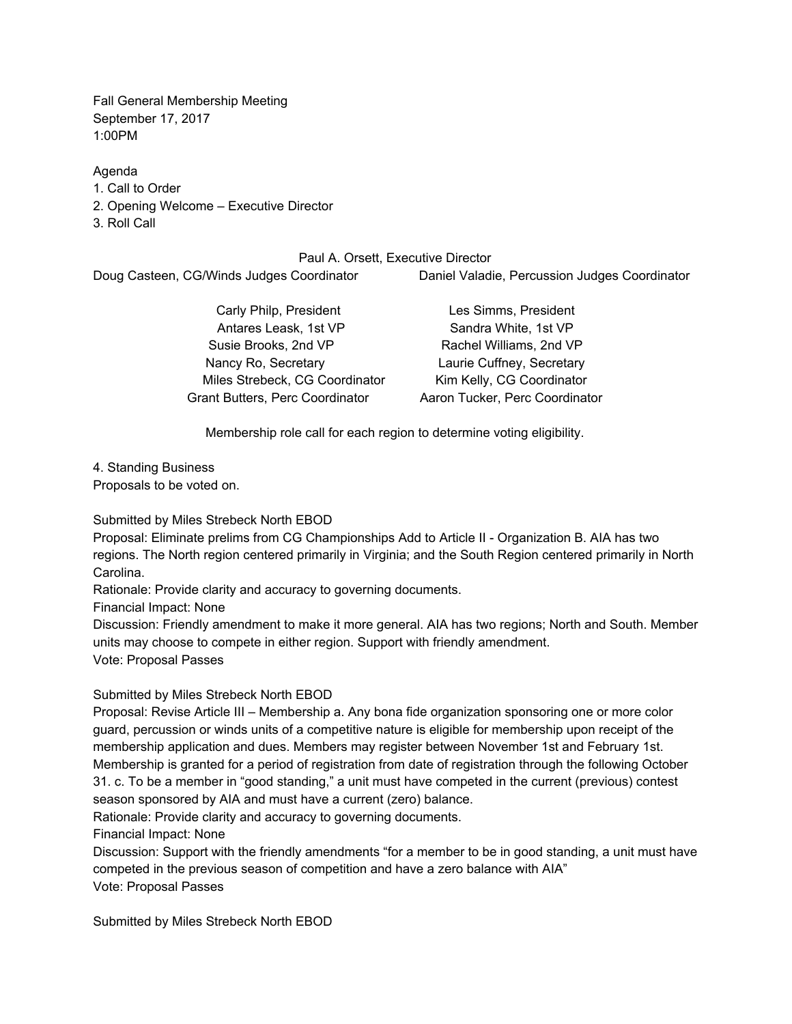Fall General Membership Meeting September 17, 2017 1:00PM

Agenda

1. Call to Order

2. Opening Welcome – Executive Director

3. Roll Call

Paul A. Orsett, Executive Director Doug Casteen, CG/Winds Judges Coordinator Daniel Valadie, Percussion Judges Coordinator

> Antares Leask, 1st VP Sandra White, 1st VP Susie Brooks, 2nd VP Rachel Williams, 2nd VP Nancy Ro, Secretary Laurie Cuffney, Secretary Miles Strebeck, CG Coordinator Kim Kelly, CG Coordinator Grant Butters, Perc Coordinator Aaron Tucker, Perc Coordinator

Carly Philp, President Les Simms, President

Membership role call for each region to determine voting eligibility.

4. Standing Business Proposals to be voted on.

Submitted by Miles Strebeck North EBOD

Proposal: Eliminate prelims from CG Championships Add to Article II - Organization B. AIA has two regions. The North region centered primarily in Virginia; and the South Region centered primarily in North Carolina.

Rationale: Provide clarity and accuracy to governing documents.

Financial Impact: None

Discussion: Friendly amendment to make it more general. AIA has two regions; North and South. Member units may choose to compete in either region. Support with friendly amendment. Vote: Proposal Passes

Submitted by Miles Strebeck North EBOD

Proposal: Revise Article III – Membership a. Any bona fide organization sponsoring one or more color guard, percussion or winds units of a competitive nature is eligible for membership upon receipt of the membership application and dues. Members may register between November 1st and February 1st. Membership is granted for a period of registration from date of registration through the following October 31. c. To be a member in "good standing," a unit must have competed in the current (previous) contest season sponsored by AIA and must have a current (zero) balance.

Rationale: Provide clarity and accuracy to governing documents.

Financial Impact: None

Discussion: Support with the friendly amendments "for a member to be in good standing, a unit must have competed in the previous season of competition and have a zero balance with AIA" Vote: Proposal Passes

Submitted by Miles Strebeck North EBOD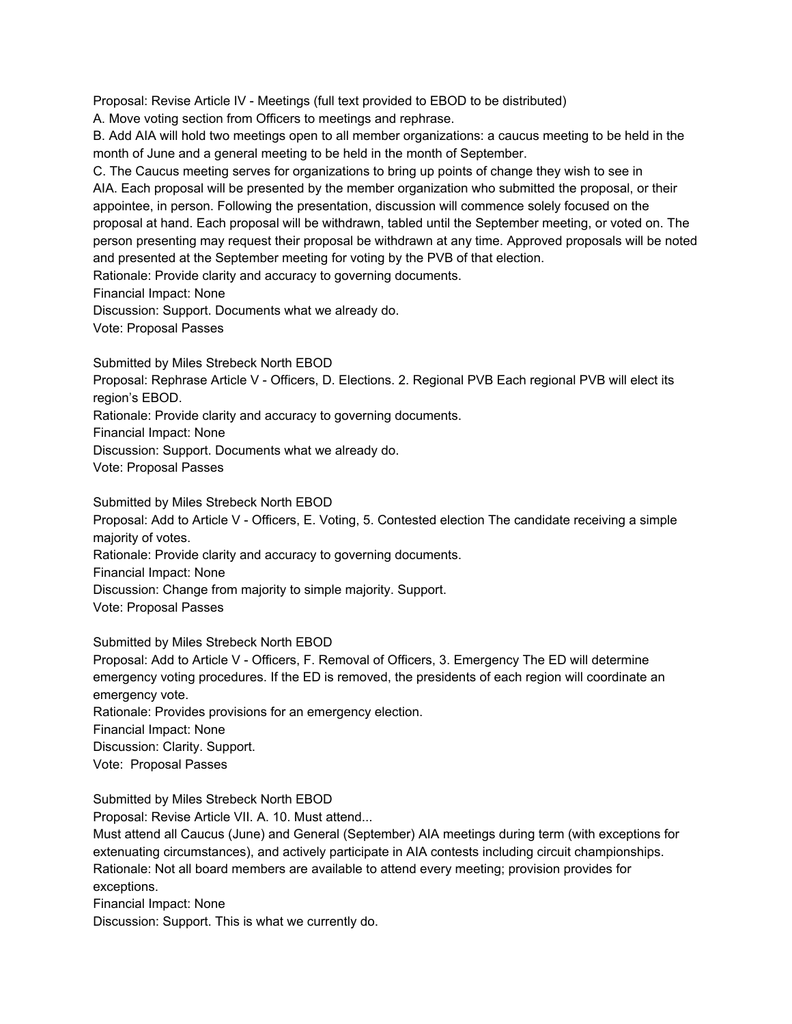Proposal: Revise Article IV - Meetings (full text provided to EBOD to be distributed)

A. Move voting section from Officers to meetings and rephrase.

B. Add AIA will hold two meetings open to all member organizations: a caucus meeting to be held in the month of June and a general meeting to be held in the month of September.

C. The Caucus meeting serves for organizations to bring up points of change they wish to see in AIA. Each proposal will be presented by the member organization who submitted the proposal, or their appointee, in person. Following the presentation, discussion will commence solely focused on the proposal at hand. Each proposal will be withdrawn, tabled until the September meeting, or voted on. The person presenting may request their proposal be withdrawn at any time. Approved proposals will be noted and presented at the September meeting for voting by the PVB of that election.

Rationale: Provide clarity and accuracy to governing documents.

Financial Impact: None

Discussion: Support. Documents what we already do.

Vote: Proposal Passes

Submitted by Miles Strebeck North EBOD

Proposal: Rephrase Article V - Officers, D. Elections. 2. Regional PVB Each regional PVB will elect its region's EBOD.

Rationale: Provide clarity and accuracy to governing documents.

Financial Impact: None

Discussion: Support. Documents what we already do.

Vote: Proposal Passes

Submitted by Miles Strebeck North EBOD

Proposal: Add to Article V - Officers, E. Voting, 5. Contested election The candidate receiving a simple majority of votes.

Rationale: Provide clarity and accuracy to governing documents.

Financial Impact: None

Discussion: Change from majority to simple majority. Support.

Vote: Proposal Passes

Submitted by Miles Strebeck North EBOD

Proposal: Add to Article V - Officers, F. Removal of Officers, 3. Emergency The ED will determine emergency voting procedures. If the ED is removed, the presidents of each region will coordinate an emergency vote.

Rationale: Provides provisions for an emergency election.

Financial Impact: None

Discussion: Clarity. Support.

Vote: Proposal Passes

Submitted by Miles Strebeck North EBOD

Proposal: Revise Article VII. A. 10. Must attend...

Must attend all Caucus (June) and General (September) AIA meetings during term (with exceptions for extenuating circumstances), and actively participate in AIA contests including circuit championships. Rationale: Not all board members are available to attend every meeting; provision provides for exceptions.

Financial Impact: None

Discussion: Support. This is what we currently do.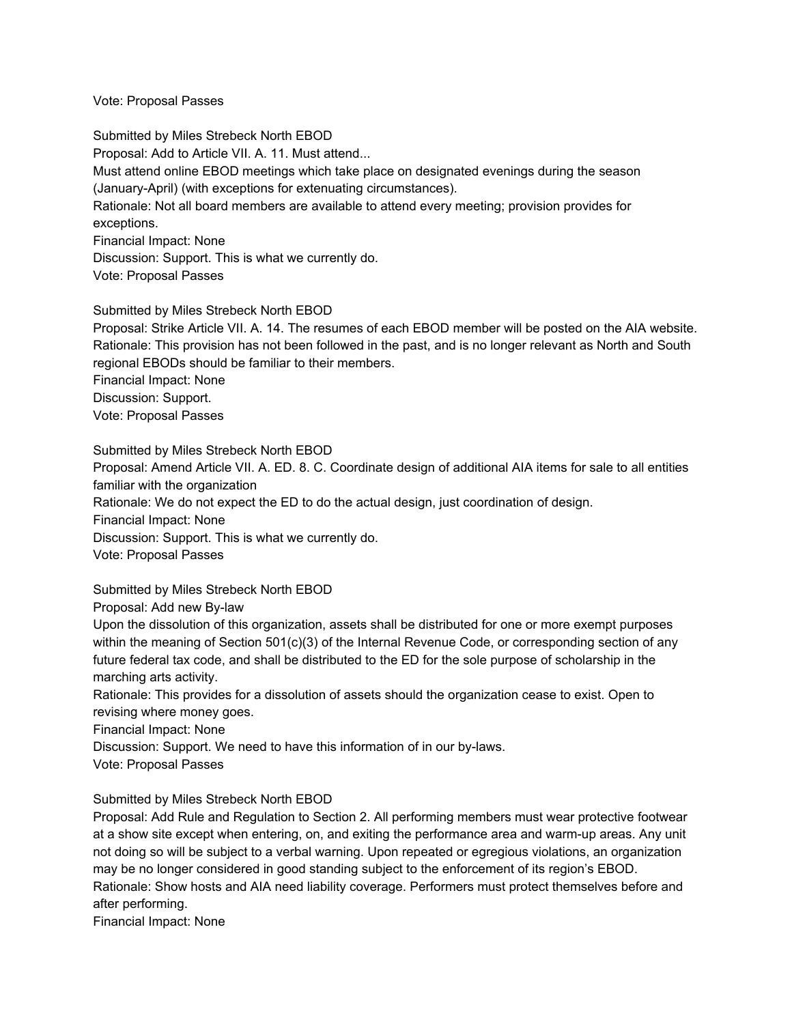Vote: Proposal Passes

Submitted by Miles Strebeck North EBOD Proposal: Add to Article VII. A. 11. Must attend... Must attend online EBOD meetings which take place on designated evenings during the season (January-April) (with exceptions for extenuating circumstances). Rationale: Not all board members are available to attend every meeting; provision provides for exceptions. Financial Impact: None Discussion: Support. This is what we currently do. Vote: Proposal Passes

Submitted by Miles Strebeck North EBOD

Proposal: Strike Article VII. A. 14. The resumes of each EBOD member will be posted on the AIA website. Rationale: This provision has not been followed in the past, and is no longer relevant as North and South regional EBODs should be familiar to their members.

Financial Impact: None

Discussion: Support.

Vote: Proposal Passes

Submitted by Miles Strebeck North EBOD

Proposal: Amend Article VII. A. ED. 8. C. Coordinate design of additional AIA items for sale to all entities familiar with the organization

Rationale: We do not expect the ED to do the actual design, just coordination of design.

Financial Impact: None

Discussion: Support. This is what we currently do.

Vote: Proposal Passes

Submitted by Miles Strebeck North EBOD

Proposal: Add new By-law

Upon the dissolution of this organization, assets shall be distributed for one or more exempt purposes within the meaning of Section 501(c)(3) of the Internal Revenue Code, or corresponding section of any future federal tax code, and shall be distributed to the ED for the sole purpose of scholarship in the marching arts activity.

Rationale: This provides for a dissolution of assets should the organization cease to exist. Open to revising where money goes.

Financial Impact: None

Discussion: Support. We need to have this information of in our by-laws.

Vote: Proposal Passes

## Submitted by Miles Strebeck North EBOD

Proposal: Add Rule and Regulation to Section 2. All performing members must wear protective footwear at a show site except when entering, on, and exiting the performance area and warm-up areas. Any unit not doing so will be subject to a verbal warning. Upon repeated or egregious violations, an organization may be no longer considered in good standing subject to the enforcement of its region's EBOD.

Rationale: Show hosts and AIA need liability coverage. Performers must protect themselves before and after performing.

Financial Impact: None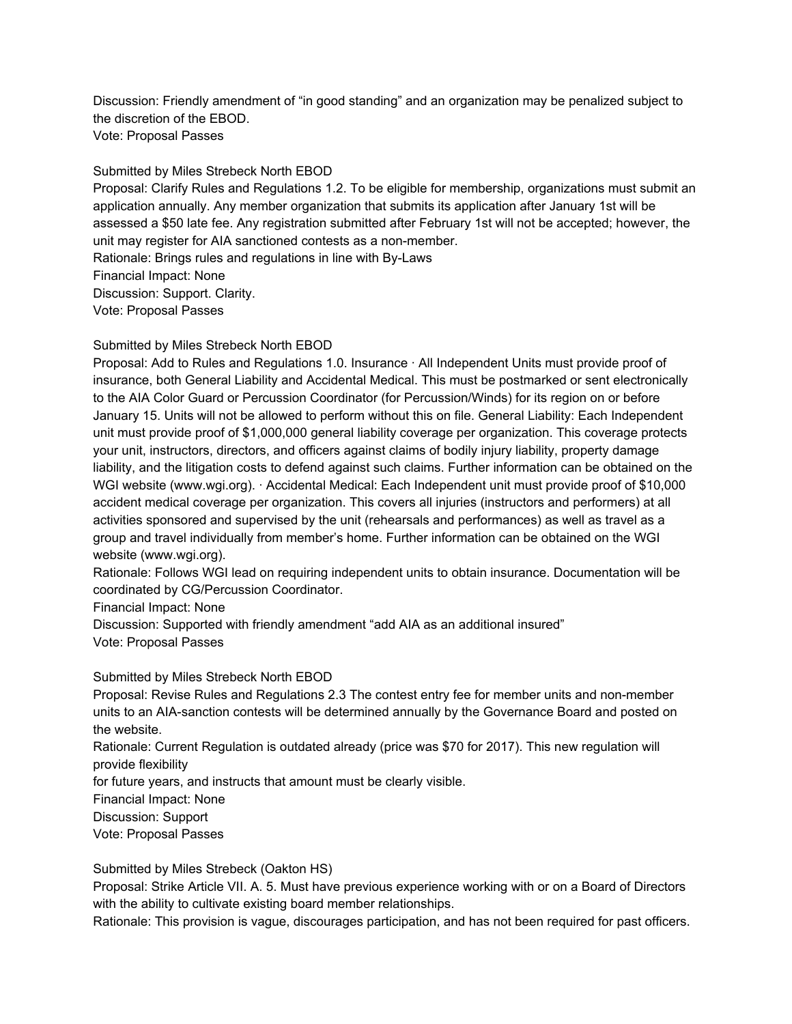Discussion: Friendly amendment of "in good standing" and an organization may be penalized subject to the discretion of the EBOD. Vote: Proposal Passes

Submitted by Miles Strebeck North EBOD Proposal: Clarify Rules and Regulations 1.2. To be eligible for membership, organizations must submit an application annually. Any member organization that submits its application after January 1st will be assessed a \$50 late fee. Any registration submitted after February 1st will not be accepted; however, the unit may register for AIA sanctioned contests as a non-member. Rationale: Brings rules and regulations in line with By-Laws Financial Impact: None Discussion: Support. Clarity. Vote: Proposal Passes

Submitted by Miles Strebeck North EBOD

Proposal: Add to Rules and Regulations 1.0. Insurance · All Independent Units must provide proof of insurance, both General Liability and Accidental Medical. This must be postmarked or sent electronically to the AIA Color Guard or Percussion Coordinator (for Percussion/Winds) for its region on or before January 15. Units will not be allowed to perform without this on file. General Liability: Each Independent unit must provide proof of \$1,000,000 general liability coverage per organization. This coverage protects your unit, instructors, directors, and officers against claims of bodily injury liability, property damage liability, and the litigation costs to defend against such claims. Further information can be obtained on the WGI website (www.wgi.org). · Accidental Medical: Each Independent unit must provide proof of \$10,000 accident medical coverage per organization. This covers all injuries (instructors and performers) at all activities sponsored and supervised by the unit (rehearsals and performances) as well as travel as a group and travel individually from member's home. Further information can be obtained on the WGI website (www.wgi.org).

Rationale: Follows WGI lead on requiring independent units to obtain insurance. Documentation will be coordinated by CG/Percussion Coordinator.

Financial Impact: None

Discussion: Supported with friendly amendment "add AIA as an additional insured" Vote: Proposal Passes

Submitted by Miles Strebeck North EBOD

Proposal: Revise Rules and Regulations 2.3 The contest entry fee for member units and non-member units to an AIA-sanction contests will be determined annually by the Governance Board and posted on the website.

Rationale: Current Regulation is outdated already (price was \$70 for 2017). This new regulation will provide flexibility

for future years, and instructs that amount must be clearly visible.

Financial Impact: None

Discussion: Support

Vote: Proposal Passes

Submitted by Miles Strebeck (Oakton HS)

Proposal: Strike Article VII. A. 5. Must have previous experience working with or on a Board of Directors with the ability to cultivate existing board member relationships.

Rationale: This provision is vague, discourages participation, and has not been required for past officers.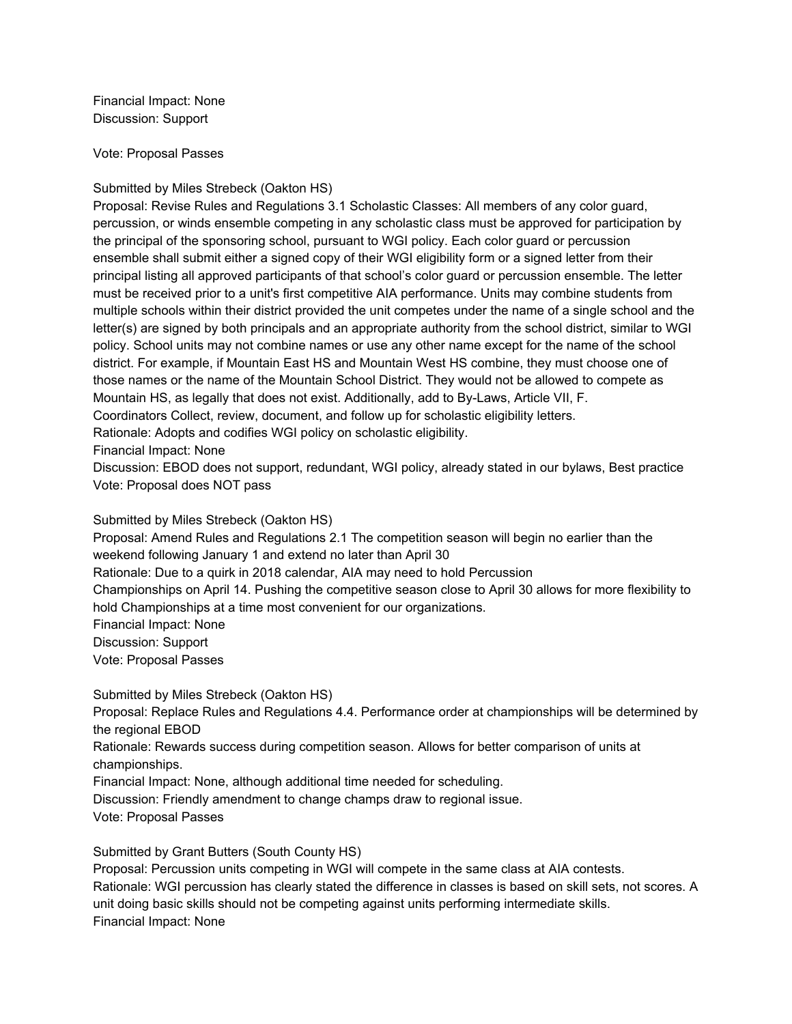Financial Impact: None Discussion: Support

Vote: Proposal Passes

## Submitted by Miles Strebeck (Oakton HS)

Proposal: Revise Rules and Regulations 3.1 Scholastic Classes: All members of any color guard, percussion, or winds ensemble competing in any scholastic class must be approved for participation by the principal of the sponsoring school, pursuant to WGI policy. Each color guard or percussion ensemble shall submit either a signed copy of their WGI eligibility form or a signed letter from their principal listing all approved participants of that school's color guard or percussion ensemble. The letter must be received prior to a unit's first competitive AIA performance. Units may combine students from multiple schools within their district provided the unit competes under the name of a single school and the letter(s) are signed by both principals and an appropriate authority from the school district, similar to WGI policy. School units may not combine names or use any other name except for the name of the school district. For example, if Mountain East HS and Mountain West HS combine, they must choose one of those names or the name of the Mountain School District. They would not be allowed to compete as Mountain HS, as legally that does not exist. Additionally, add to By-Laws, Article VII, F. Coordinators Collect, review, document, and follow up for scholastic eligibility letters. Rationale: Adopts and codifies WGI policy on scholastic eligibility.

Financial Impact: None

Discussion: EBOD does not support, redundant, WGI policy, already stated in our bylaws, Best practice Vote: Proposal does NOT pass

Submitted by Miles Strebeck (Oakton HS)

Proposal: Amend Rules and Regulations 2.1 The competition season will begin no earlier than the weekend following January 1 and extend no later than April 30 Rationale: Due to a quirk in 2018 calendar, AIA may need to hold Percussion Championships on April 14. Pushing the competitive season close to April 30 allows for more flexibility to hold Championships at a time most convenient for our organizations. Financial Impact: None Discussion: Support Vote: Proposal Passes

Submitted by Miles Strebeck (Oakton HS) Proposal: Replace Rules and Regulations 4.4. Performance order at championships will be determined by the regional EBOD Rationale: Rewards success during competition season. Allows for better comparison of units at championships. Financial Impact: None, although additional time needed for scheduling. Discussion: Friendly amendment to change champs draw to regional issue. Vote: Proposal Passes

Submitted by Grant Butters (South County HS)

Proposal: Percussion units competing in WGI will compete in the same class at AIA contests. Rationale: WGI percussion has clearly stated the difference in classes is based on skill sets, not scores. A unit doing basic skills should not be competing against units performing intermediate skills. Financial Impact: None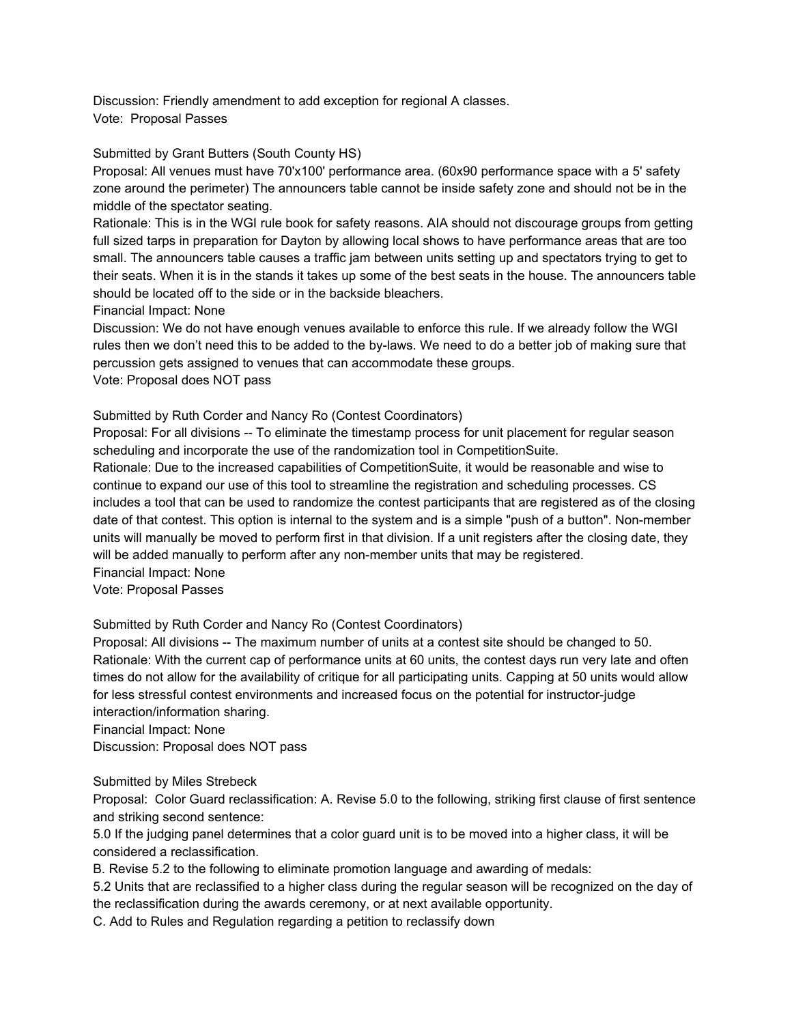Discussion: Friendly amendment to add exception for regional A classes. Vote: Proposal Passes

Submitted by Grant Butters (South County HS)

Proposal: All venues must have 70'x100' performance area. (60x90 performance space with a 5' safety zone around the perimeter) The announcers table cannot be inside safety zone and should not be in the middle of the spectator seating.

Rationale: This is in the WGI rule book for safety reasons. AIA should not discourage groups from getting full sized tarps in preparation for Dayton by allowing local shows to have performance areas that are too small. The announcers table causes a traffic jam between units setting up and spectators trying to get to their seats. When it is in the stands it takes up some of the best seats in the house. The announcers table should be located off to the side or in the backside bleachers.

Financial Impact: None

Discussion: We do not have enough venues available to enforce this rule. If we already follow the WGI rules then we don't need this to be added to the by-laws. We need to do a better job of making sure that percussion gets assigned to venues that can accommodate these groups. Vote: Proposal does NOT pass

Submitted by Ruth Corder and Nancy Ro (Contest Coordinators)

Proposal: For all divisions -- To eliminate the timestamp process for unit placement for regular season scheduling and incorporate the use of the randomization tool in CompetitionSuite.

Rationale: Due to the increased capabilities of CompetitionSuite, it would be reasonable and wise to continue to expand our use of this tool to streamline the registration and scheduling processes. CS includes a tool that can be used to randomize the contest participants that are registered as of the closing date of that contest. This option is internal to the system and is a simple "push of a button". Non-member units will manually be moved to perform first in that division. If a unit registers after the closing date, they will be added manually to perform after any non-member units that may be registered.

Financial Impact: None

Vote: Proposal Passes

Submitted by Ruth Corder and Nancy Ro (Contest Coordinators)

Proposal: All divisions -- The maximum number of units at a contest site should be changed to 50. Rationale: With the current cap of performance units at 60 units, the contest days run very late and often times do not allow for the availability of critique for all participating units. Capping at 50 units would allow for less stressful contest environments and increased focus on the potential for instructor-judge interaction/information sharing.

Financial Impact: None

Discussion: Proposal does NOT pass

Submitted by Miles Strebeck

Proposal: Color Guard reclassification: A. Revise 5.0 to the following, striking first clause of first sentence and striking second sentence:

5.0 If the judging panel determines that a color guard unit is to be moved into a higher class, it will be considered a reclassification.

B. Revise 5.2 to the following to eliminate promotion language and awarding of medals:

5.2 Units that are reclassified to a higher class during the regular season will be recognized on the day of the reclassification during the awards ceremony, or at next available opportunity.

C. Add to Rules and Regulation regarding a petition to reclassify down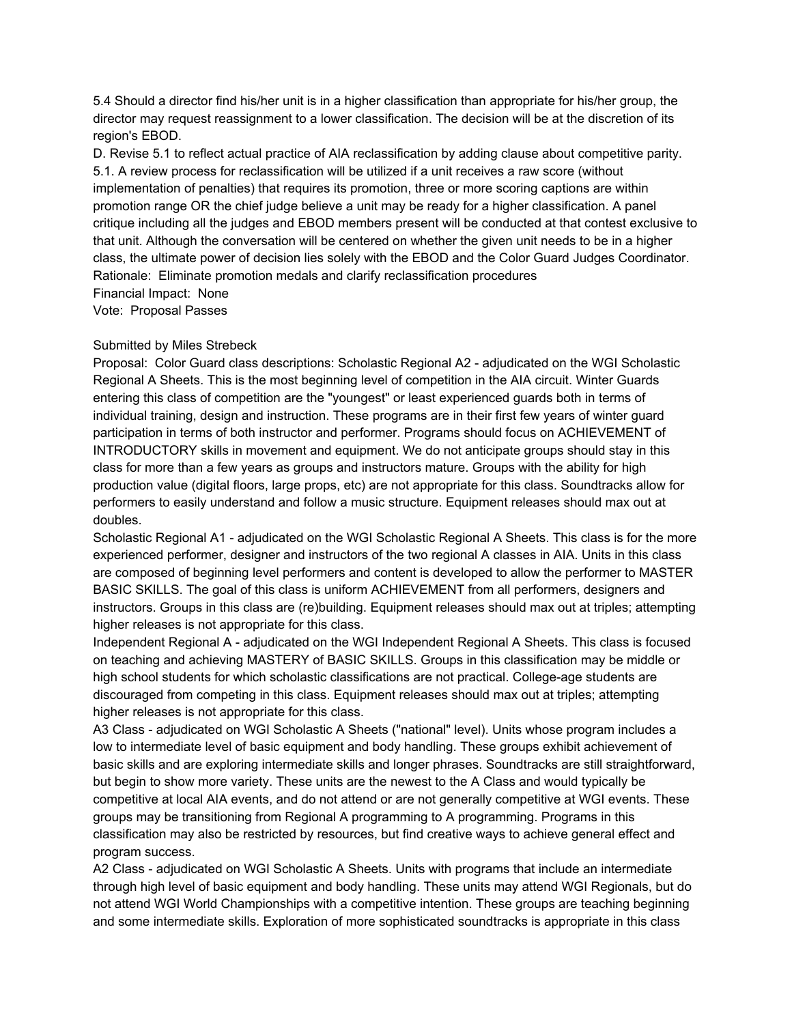5.4 Should a director find his/her unit is in a higher classification than appropriate for his/her group, the director may request reassignment to a lower classification. The decision will be at the discretion of its region's EBOD.

D. Revise 5.1 to reflect actual practice of AIA reclassification by adding clause about competitive parity. 5.1. A review process for reclassification will be utilized if a unit receives a raw score (without implementation of penalties) that requires its promotion, three or more scoring captions are within promotion range OR the chief judge believe a unit may be ready for a higher classification. A panel critique including all the judges and EBOD members present will be conducted at that contest exclusive to that unit. Although the conversation will be centered on whether the given unit needs to be in a higher class, the ultimate power of decision lies solely with the EBOD and the Color Guard Judges Coordinator. Rationale: Eliminate promotion medals and clarify reclassification procedures Financial Impact: None

Vote: Proposal Passes

## Submitted by Miles Strebeck

Proposal: Color Guard class descriptions: Scholastic Regional A2 - adjudicated on the WGI Scholastic Regional A Sheets. This is the most beginning level of competition in the AIA circuit. Winter Guards entering this class of competition are the "youngest" or least experienced guards both in terms of individual training, design and instruction. These programs are in their first few years of winter guard participation in terms of both instructor and performer. Programs should focus on ACHIEVEMENT of INTRODUCTORY skills in movement and equipment. We do not anticipate groups should stay in this class for more than a few years as groups and instructors mature. Groups with the ability for high production value (digital floors, large props, etc) are not appropriate for this class. Soundtracks allow for performers to easily understand and follow a music structure. Equipment releases should max out at doubles.

Scholastic Regional A1 - adjudicated on the WGI Scholastic Regional A Sheets. This class is for the more experienced performer, designer and instructors of the two regional A classes in AIA. Units in this class are composed of beginning level performers and content is developed to allow the performer to MASTER BASIC SKILLS. The goal of this class is uniform ACHIEVEMENT from all performers, designers and instructors. Groups in this class are (re)building. Equipment releases should max out at triples; attempting higher releases is not appropriate for this class.

Independent Regional A - adjudicated on the WGI Independent Regional A Sheets. This class is focused on teaching and achieving MASTERY of BASIC SKILLS. Groups in this classification may be middle or high school students for which scholastic classifications are not practical. College-age students are discouraged from competing in this class. Equipment releases should max out at triples; attempting higher releases is not appropriate for this class.

A3 Class - adjudicated on WGI Scholastic A Sheets ("national" level). Units whose program includes a low to intermediate level of basic equipment and body handling. These groups exhibit achievement of basic skills and are exploring intermediate skills and longer phrases. Soundtracks are still straightforward, but begin to show more variety. These units are the newest to the A Class and would typically be competitive at local AIA events, and do not attend or are not generally competitive at WGI events. These groups may be transitioning from Regional A programming to A programming. Programs in this classification may also be restricted by resources, but find creative ways to achieve general effect and program success.

A2 Class - adjudicated on WGI Scholastic A Sheets. Units with programs that include an intermediate through high level of basic equipment and body handling. These units may attend WGI Regionals, but do not attend WGI World Championships with a competitive intention. These groups are teaching beginning and some intermediate skills. Exploration of more sophisticated soundtracks is appropriate in this class